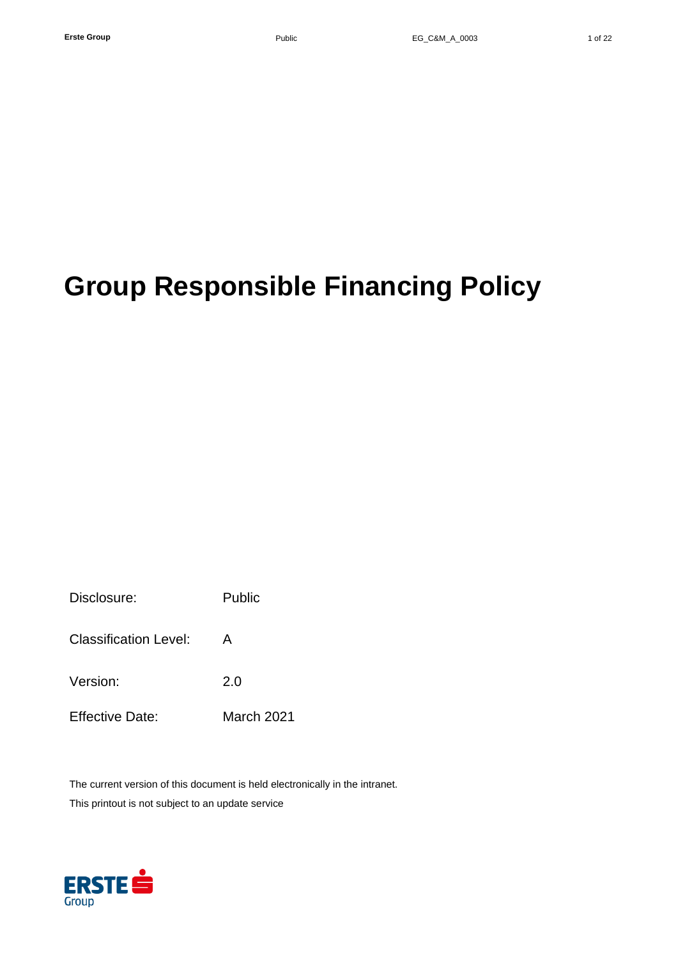Disclosure: Public Classification Level: A Version: 2.0 Effective Date: March 2021

The current version of this document is held electronically in the intranet.

This printout is not subject to an update service

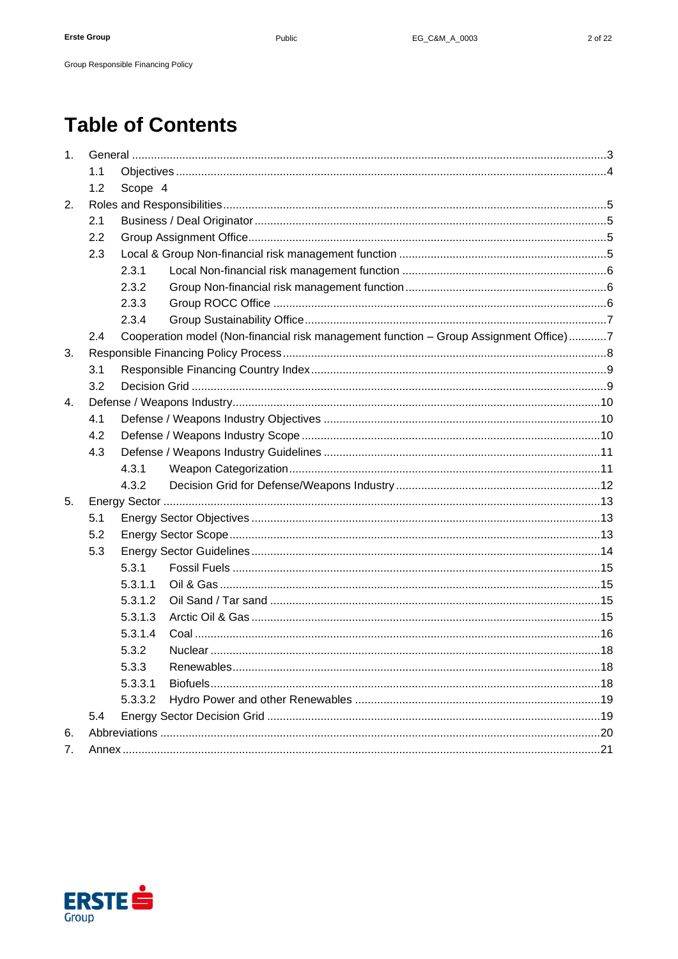# **Table of Contents**

Group Responsible Financing Policy

| 1 <sub>1</sub> |     |         |                                                                                       |  |  |
|----------------|-----|---------|---------------------------------------------------------------------------------------|--|--|
|                | 1.1 |         |                                                                                       |  |  |
|                | 1.2 | Scope 4 |                                                                                       |  |  |
| 2.             |     |         |                                                                                       |  |  |
|                | 2.1 |         |                                                                                       |  |  |
|                | 2.2 |         |                                                                                       |  |  |
|                | 2.3 |         |                                                                                       |  |  |
|                |     | 2.3.1   |                                                                                       |  |  |
|                |     | 2.3.2   |                                                                                       |  |  |
|                |     | 2.3.3   |                                                                                       |  |  |
|                |     | 2.3.4   |                                                                                       |  |  |
|                | 2.4 |         | Cooperation model (Non-financial risk management function - Group Assignment Office)7 |  |  |
| 3.             |     |         |                                                                                       |  |  |
|                | 3.1 |         |                                                                                       |  |  |
|                | 3.2 |         |                                                                                       |  |  |
| $\mathbf{4}$ . |     |         |                                                                                       |  |  |
|                | 4.1 |         |                                                                                       |  |  |
|                | 4.2 |         |                                                                                       |  |  |
|                | 4.3 |         |                                                                                       |  |  |
|                |     | 4.3.1   |                                                                                       |  |  |
|                |     | 4.3.2   |                                                                                       |  |  |
| 5.             |     |         |                                                                                       |  |  |
|                | 5.1 |         |                                                                                       |  |  |
|                | 5.2 |         |                                                                                       |  |  |
|                | 5.3 |         |                                                                                       |  |  |
|                |     | 5.3.1   |                                                                                       |  |  |
|                |     | 5.3.1.1 |                                                                                       |  |  |
|                |     | 5.3.1.2 |                                                                                       |  |  |
|                |     | 5.3.1.3 |                                                                                       |  |  |
|                |     | 5.3.1.4 |                                                                                       |  |  |
|                |     | 5.3.2   |                                                                                       |  |  |
|                |     | 5.3.3   |                                                                                       |  |  |
|                |     | 5.3.3.1 |                                                                                       |  |  |
|                |     | 5.3.3.2 |                                                                                       |  |  |
|                | 5.4 |         |                                                                                       |  |  |
| 6.             |     |         |                                                                                       |  |  |
| 7.             |     |         |                                                                                       |  |  |

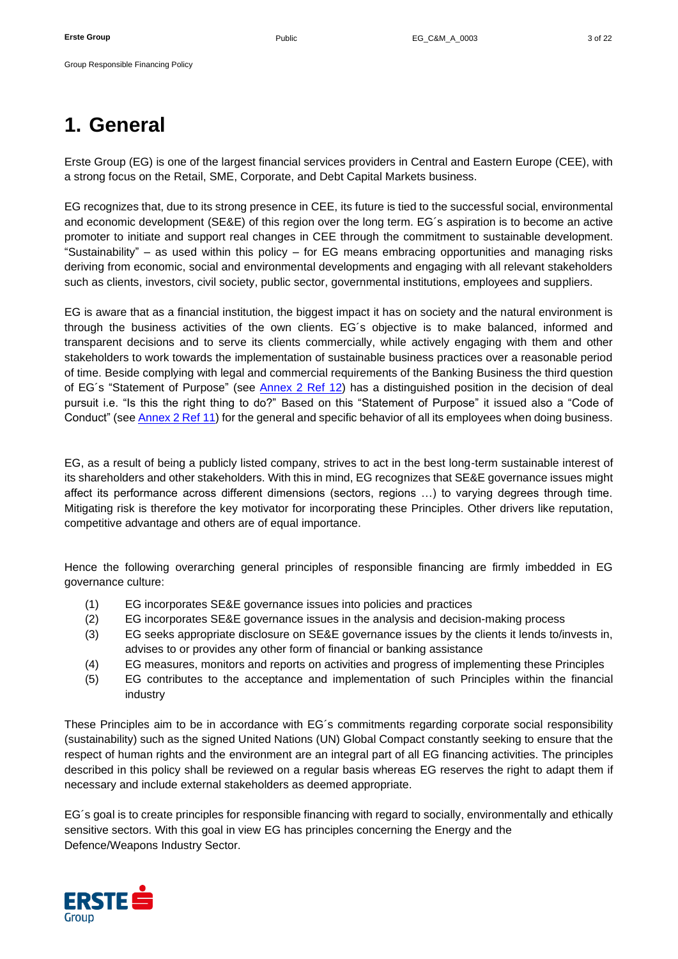# <span id="page-2-0"></span>**1. General**

Erste Group (EG) is one of the largest financial services providers in Central and Eastern Europe (CEE), with a strong focus on the Retail, SME, Corporate, and Debt Capital Markets business.

EG recognizes that, due to its strong presence in CEE, its future is tied to the successful social, environmental and economic development (SE&E) of this region over the long term. EG´s aspiration is to become an active promoter to initiate and support real changes in CEE through the commitment to sustainable development. "Sustainability" – as used within this policy – for EG means embracing opportunities and managing risks deriving from economic, social and environmental developments and engaging with all relevant stakeholders such as clients, investors, civil society, public sector, governmental institutions, employees and suppliers.

EG is aware that as a financial institution, the biggest impact it has on society and the natural environment is through the business activities of the own clients. EG´s objective is to make balanced, informed and transparent decisions and to serve its clients commercially, while actively engaging with them and other stakeholders to work towards the implementation of sustainable business practices over a reasonable period of time. Beside complying with legal and commercial requirements of the Banking Business the third question of EG's "Statement of Purpose" (see [Annex 2 Ref 12\)](#page-21-0) has a distinguished position in the decision of deal pursuit i.e. "Is this the right thing to do?" Based on this "Statement of Purpose" it issued also a "Code of Conduct" (se[e Annex 2 Ref 11\)](#page-21-1) for the general and specific behavior of all its employees when doing business.

EG, as a result of being a publicly listed company, strives to act in the best long-term sustainable interest of its shareholders and other stakeholders. With this in mind, EG recognizes that SE&E governance issues might affect its performance across different dimensions (sectors, regions …) to varying degrees through time. Mitigating risk is therefore the key motivator for incorporating these Principles. Other drivers like reputation, competitive advantage and others are of equal importance.

Hence the following overarching general principles of responsible financing are firmly imbedded in EG governance culture:

- (1) EG incorporates SE&E governance issues into policies and practices
- (2) EG incorporates SE&E governance issues in the analysis and decision-making process
- (3) EG seeks appropriate disclosure on SE&E governance issues by the clients it lends to/invests in, advises to or provides any other form of financial or banking assistance
- (4) EG measures, monitors and reports on activities and progress of implementing these Principles
- (5) EG contributes to the acceptance and implementation of such Principles within the financial industry

These Principles aim to be in accordance with EG´s commitments regarding corporate social responsibility (sustainability) such as the signed United Nations (UN) Global Compact constantly seeking to ensure that the respect of human rights and the environment are an integral part of all EG financing activities. The principles described in this policy shall be reviewed on a regular basis whereas EG reserves the right to adapt them if necessary and include external stakeholders as deemed appropriate.

EG´s goal is to create principles for responsible financing with regard to socially, environmentally and ethically sensitive sectors. With this goal in view EG has principles concerning the Energy and the Defence/Weapons Industry Sector.

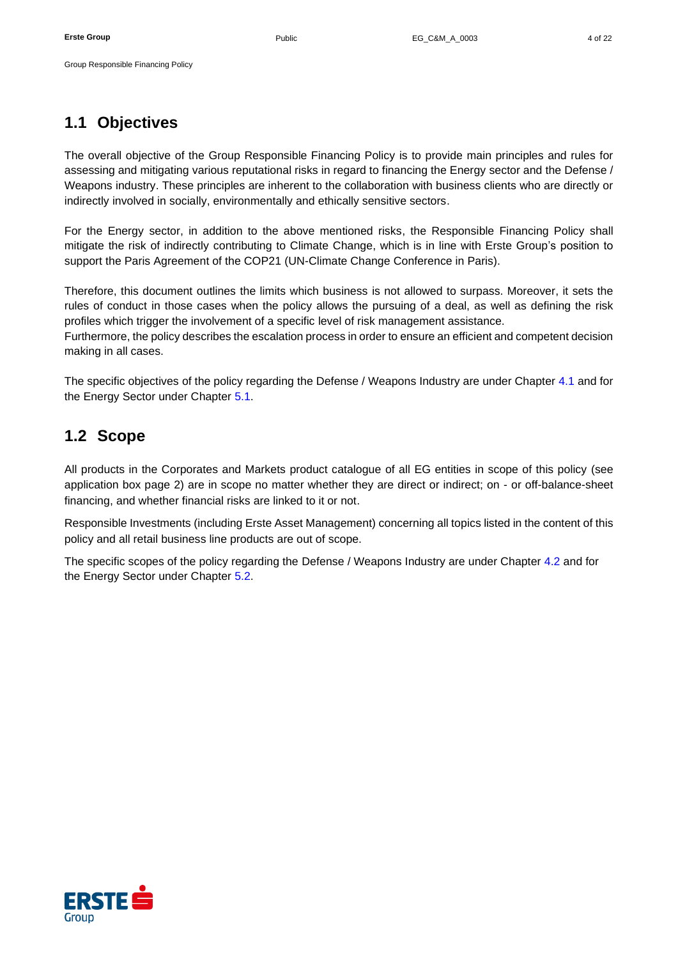# <span id="page-3-0"></span>**1.1 Objectives**

The overall objective of the Group Responsible Financing Policy is to provide main principles and rules for assessing and mitigating various reputational risks in regard to financing the Energy sector and the Defense / Weapons industry. These principles are inherent to the collaboration with business clients who are directly or indirectly involved in socially, environmentally and ethically sensitive sectors.

For the Energy sector, in addition to the above mentioned risks, the Responsible Financing Policy shall mitigate the risk of indirectly contributing to Climate Change, which is in line with Erste Group's position to support the Paris Agreement of the COP21 (UN-Climate Change Conference in Paris).

Therefore, this document outlines the limits which business is not allowed to surpass. Moreover, it sets the rules of conduct in those cases when the policy allows the pursuing of a deal, as well as defining the risk profiles which trigger the involvement of a specific level of risk management assistance.

Furthermore, the policy describes the escalation process in order to ensure an efficient and competent decision making in all cases.

The specific objectives of the policy regarding the Defense / Weapons Industry are under Chapter [4.1](#page-9-1) and for the Energy Sector under Chapter [5.1.](#page-12-1)

# <span id="page-3-1"></span>**1.2 Scope**

All products in the Corporates and Markets product catalogue of all EG entities in scope of this policy (see application box page 2) are in scope no matter whether they are direct or indirect; on - or off-balance-sheet financing, and whether financial risks are linked to it or not.

Responsible Investments (including Erste Asset Management) concerning all topics listed in the content of this policy and all retail business line products are out of scope.

The specific scopes of the policy regarding the Defense / Weapons Industry are under Chapter [4.2](#page-9-2) and for the Energy Sector under Chapter [5.2.](#page-12-2)

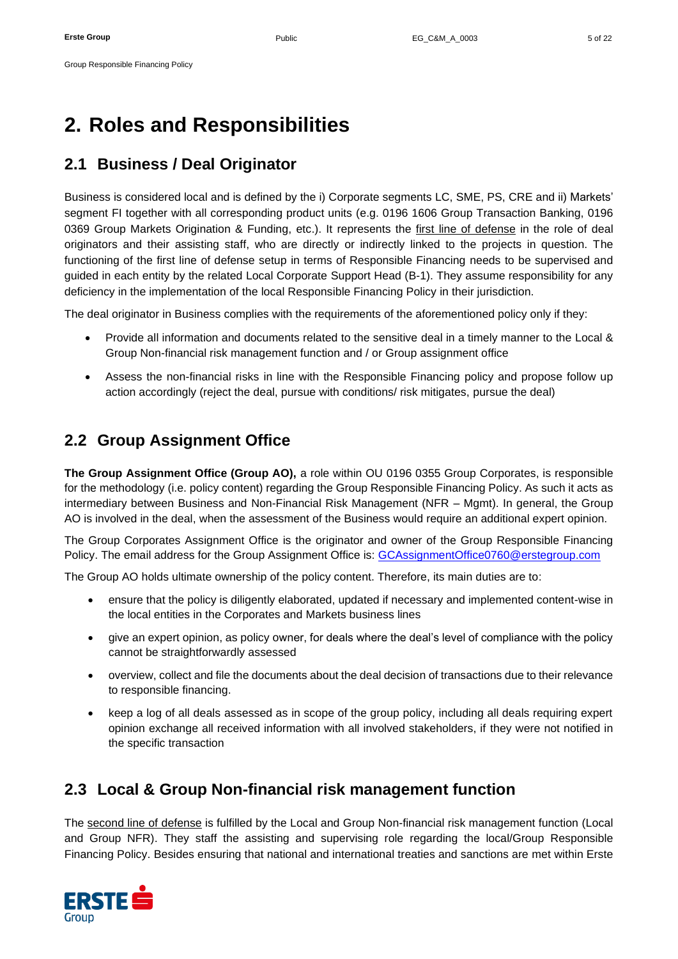# <span id="page-4-0"></span>**2. Roles and Responsibilities**

# <span id="page-4-1"></span>**2.1 Business / Deal Originator**

Business is considered local and is defined by the i) Corporate segments LC, SME, PS, CRE and ii) Markets' segment FI together with all corresponding product units (e.g. 0196 1606 Group Transaction Banking, 0196 0369 Group Markets Origination & Funding, etc.). It represents the first line of defense in the role of deal originators and their assisting staff, who are directly or indirectly linked to the projects in question. The functioning of the first line of defense setup in terms of Responsible Financing needs to be supervised and guided in each entity by the related Local Corporate Support Head (B-1). They assume responsibility for any deficiency in the implementation of the local Responsible Financing Policy in their jurisdiction.

The deal originator in Business complies with the requirements of the aforementioned policy only if they:

- Provide all information and documents related to the sensitive deal in a timely manner to the Local & Group Non-financial risk management function and / or Group assignment office
- Assess the non-financial risks in line with the Responsible Financing policy and propose follow up action accordingly (reject the deal, pursue with conditions/ risk mitigates, pursue the deal)

# <span id="page-4-2"></span>**2.2 Group Assignment Office**

**The Group Assignment Office (Group AO),** a role within OU 0196 0355 Group Corporates, is responsible for the methodology (i.e. policy content) regarding the Group Responsible Financing Policy. As such it acts as intermediary between Business and Non-Financial Risk Management (NFR – Mgmt). In general, the Group AO is involved in the deal, when the assessment of the Business would require an additional expert opinion.

The Group Corporates Assignment Office is the originator and owner of the Group Responsible Financing Policy. The email address for the Group Assignment Office is: [GCAssignmentOffice0760@erstegroup.com](mailto:GCAssignmentOffice0760@erstegroup.com)

The Group AO holds ultimate ownership of the policy content. Therefore, its main duties are to:

- ensure that the policy is diligently elaborated, updated if necessary and implemented content-wise in the local entities in the Corporates and Markets business lines
- give an expert opinion, as policy owner, for deals where the deal's level of compliance with the policy cannot be straightforwardly assessed
- overview, collect and file the documents about the deal decision of transactions due to their relevance to responsible financing.
- keep a log of all deals assessed as in scope of the group policy, including all deals requiring expert opinion exchange all received information with all involved stakeholders, if they were not notified in the specific transaction

# <span id="page-4-3"></span>**2.3 Local & Group Non-financial risk management function**

The second line of defense is fulfilled by the Local and Group Non-financial risk management function (Local and Group NFR). They staff the assisting and supervising role regarding the local/Group Responsible Financing Policy. Besides ensuring that national and international treaties and sanctions are met within Erste

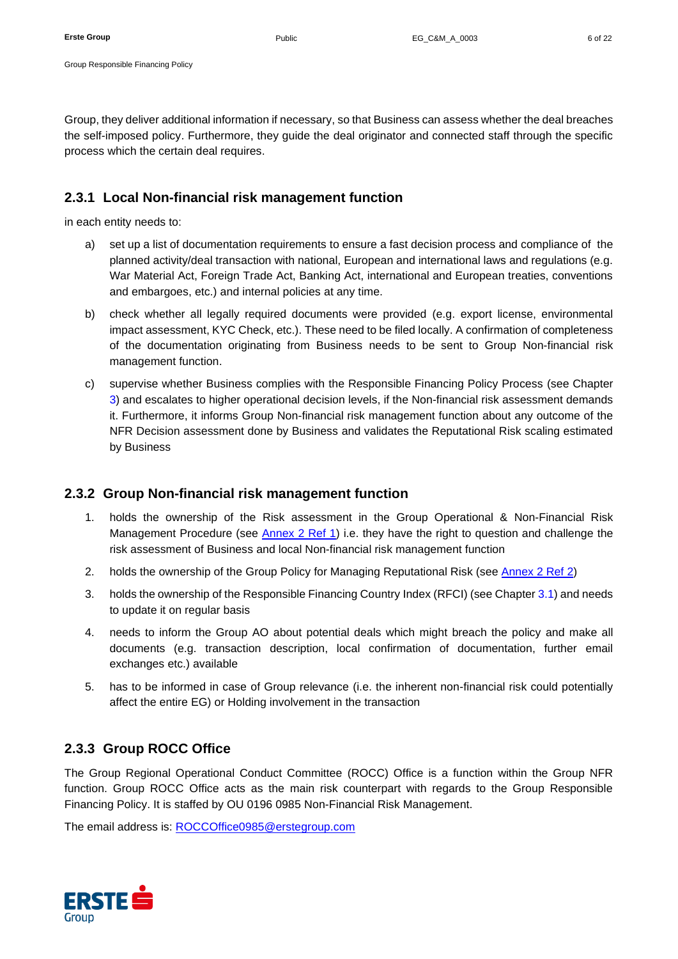Group, they deliver additional information if necessary, so that Business can assess whether the deal breaches the self-imposed policy. Furthermore, they guide the deal originator and connected staff through the specific process which the certain deal requires.

### <span id="page-5-0"></span>**2.3.1 Local Non-financial risk management function**

<span id="page-5-3"></span>in each entity needs to:

- a) set up a list of documentation requirements to ensure a fast decision process and compliance of the planned activity/deal transaction with national, European and international laws and regulations (e.g. War Material Act, Foreign Trade Act, Banking Act, international and European treaties, conventions and embargoes, etc.) and internal policies at any time.
- b) check whether all legally required documents were provided (e.g. export license, environmental impact assessment, KYC Check, etc.). These need to be filed locally. A confirmation of completeness of the documentation originating from Business needs to be sent to Group Non-financial risk management function.
- c) supervise whether Business complies with the Responsible Financing Policy Process (see Chapter [3\)](#page-7-0) and escalates to higher operational decision levels, if the Non-financial risk assessment demands it. Furthermore, it informs Group Non-financial risk management function about any outcome of the NFR Decision assessment done by Business and validates the Reputational Risk scaling estimated by Business

## <span id="page-5-1"></span>**2.3.2 Group Non-financial risk management function**

- 1. holds the ownership of the Risk assessment in the Group Operational & Non-Financial Risk Management Procedure (see [Annex 2 Ref 1\)](#page-20-1) i.e. they have the right to question and challenge the risk assessment of Business and local Non-financial risk management function
- 2. holds the ownership of the Group Policy for Managing Reputational Risk (see [Annex 2 Ref 2\)](#page-20-2)
- 3. holds the ownership of the Responsible Financing Country Index (RFCI) (see Chapter [3.1\)](#page-8-0) and needs to update it on regular basis
- 4. needs to inform the Group AO about potential deals which might breach the policy and make all documents (e.g. transaction description, local confirmation of documentation, further email exchanges etc.) available
- 5. has to be informed in case of Group relevance (i.e. the inherent non-financial risk could potentially affect the entire EG) or Holding involvement in the transaction

## <span id="page-5-2"></span>**2.3.3 Group ROCC Office**

The Group Regional Operational Conduct Committee (ROCC) Office is a function within the Group NFR function. Group ROCC Office acts as the main risk counterpart with regards to the Group Responsible Financing Policy. It is staffed by OU 0196 0985 Non-Financial Risk Management.

The email address is: [ROCCOffice0985@erstegroup.com](mailto:ROCCOffice0985@erstegroup.com)

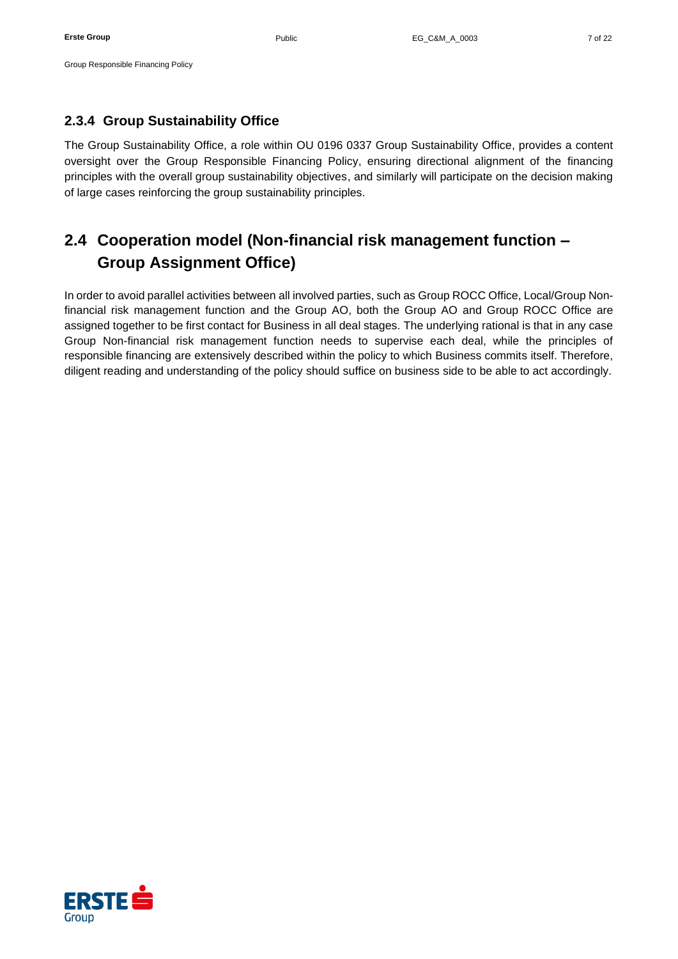### <span id="page-6-0"></span>**2.3.4 Group Sustainability Office**

The Group Sustainability Office, a role within OU 0196 0337 Group Sustainability Office, provides a content oversight over the Group Responsible Financing Policy, ensuring directional alignment of the financing principles with the overall group sustainability objectives, and similarly will participate on the decision making of large cases reinforcing the group sustainability principles.

# <span id="page-6-1"></span>**2.4 Cooperation model (Non-financial risk management function – Group Assignment Office)**

In order to avoid parallel activities between all involved parties, such as Group ROCC Office, Local/Group Nonfinancial risk management function and the Group AO, both the Group AO and Group ROCC Office are assigned together to be first contact for Business in all deal stages. The underlying rational is that in any case Group Non-financial risk management function needs to supervise each deal, while the principles of responsible financing are extensively described within the policy to which Business commits itself. Therefore, diligent reading and understanding of the policy should suffice on business side to be able to act accordingly.

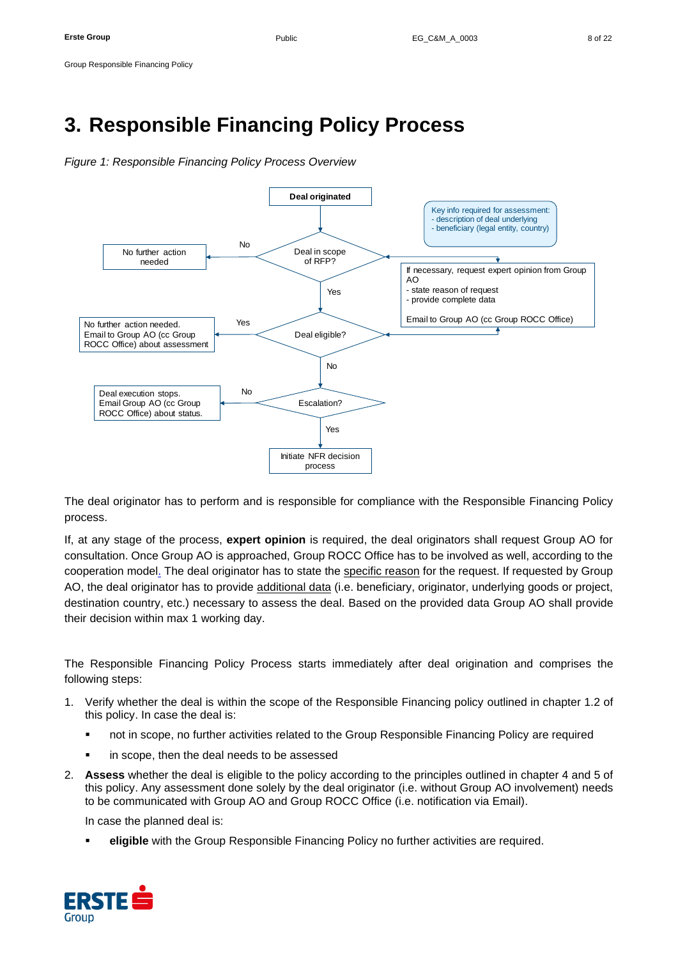# <span id="page-7-0"></span>**3. Responsible Financing Policy Process**

*Figure 1: Responsible Financing Policy Process Overview*



The deal originator has to perform and is responsible for compliance with the Responsible Financing Policy process.

If, at any stage of the process, **expert opinion** is required, the deal originators shall request Group AO for consultation. Once Group AO is approached, Group ROCC Office has to be involved as well, according to the cooperation model. The deal originator has to state the specific reason for the request. If requested by Group AO, the deal originator has to provide additional data (i.e. beneficiary, originator, underlying goods or project, destination country, etc.) necessary to assess the deal. Based on the provided data Group AO shall provide their decision within max 1 working day.

The Responsible Financing Policy Process starts immediately after deal origination and comprises the following steps:

- 1. Verify whether the deal is within the scope of the Responsible Financing policy outlined in chapter 1.2 of this policy. In case the deal is:
	- not in scope, no further activities related to the Group Responsible Financing Policy are required
	- in scope, then the deal needs to be assessed
- 2. **Assess** whether the deal is eligible to the policy according to the principles outlined in chapter 4 and 5 of this policy. Any assessment done solely by the deal originator (i.e. without Group AO involvement) needs to be communicated with Group AO and Group ROCC Office (i.e. notification via Email).

In case the planned deal is:

eligible with the Group Responsible Financing Policy no further activities are required.

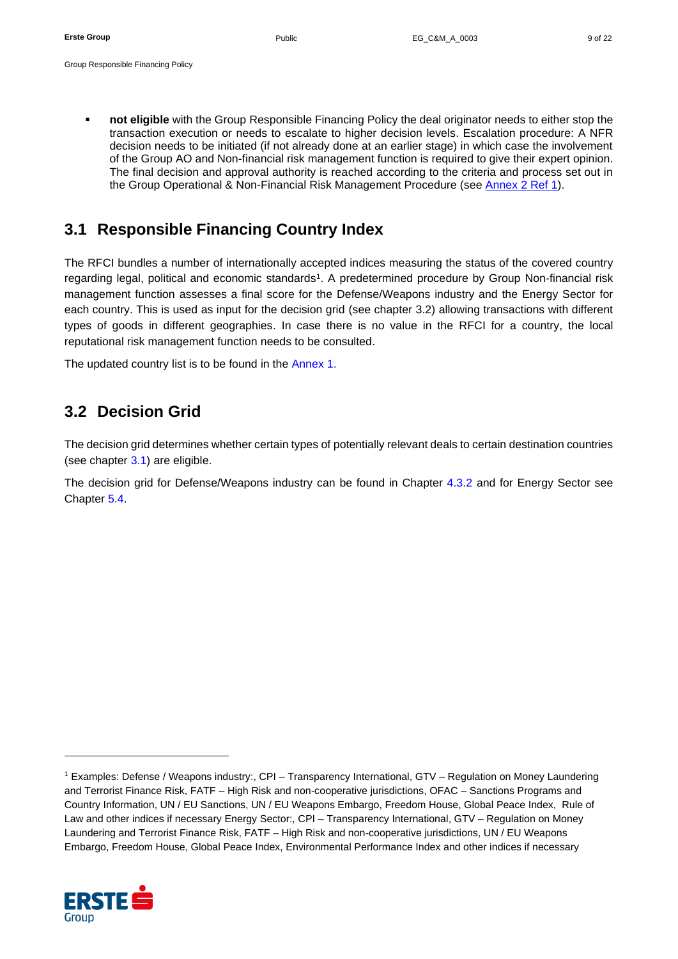▪ **not eligible** with the Group Responsible Financing Policy the deal originator needs to either stop the transaction execution or needs to escalate to higher decision levels. Escalation procedure: A NFR decision needs to be initiated (if not already done at an earlier stage) in which case the involvement of the Group AO and Non-financial risk management function is required to give their expert opinion. The final decision and approval authority is reached according to the criteria and process set out in the Group Operational & Non-Financial Risk Management Procedure (see [Annex 2 Ref 1\)](#page-20-1).

# <span id="page-8-0"></span>**3.1 Responsible Financing Country Index**

The RFCI bundles a number of internationally accepted indices measuring the status of the covered country regarding legal, political and economic standards<sup>1</sup>. A predetermined procedure by Group Non-financial risk management function assesses a final score for the Defense/Weapons industry and the Energy Sector for each country. This is used as input for the decision grid (see chapter [3.2\)](#page-8-1) allowing transactions with different types of goods in different geographies. In case there is no value in the RFCI for a country, the local reputational risk management function needs to be consulted.

The updated country list is to be found in the [Annex 1.](#page-20-3)

# <span id="page-8-1"></span>**3.2 Decision Grid**

The decision grid determines whether certain types of potentially relevant deals to certain destination countries (see chapter [3.1\)](#page-8-0) are eligible.

The decision grid for Defense/Weapons industry can be found in Chapter [4.3.2](#page-11-0) and for Energy Sector see Chapter [5.4.](#page-18-1)

<sup>1</sup> Examples: Defense / Weapons industry:, CPI – Transparency International, GTV – Regulation on Money Laundering and Terrorist Finance Risk, FATF – High Risk and non-cooperative jurisdictions, OFAC – Sanctions Programs and Country Information, UN / EU Sanctions, UN / EU Weapons Embargo, Freedom House, Global Peace Index, Rule of Law and other indices if necessary Energy Sector:, CPI – Transparency International, GTV – Regulation on Money Laundering and Terrorist Finance Risk, FATF – High Risk and non-cooperative jurisdictions, UN / EU Weapons Embargo, Freedom House, Global Peace Index, Environmental Performance Index and other indices if necessary

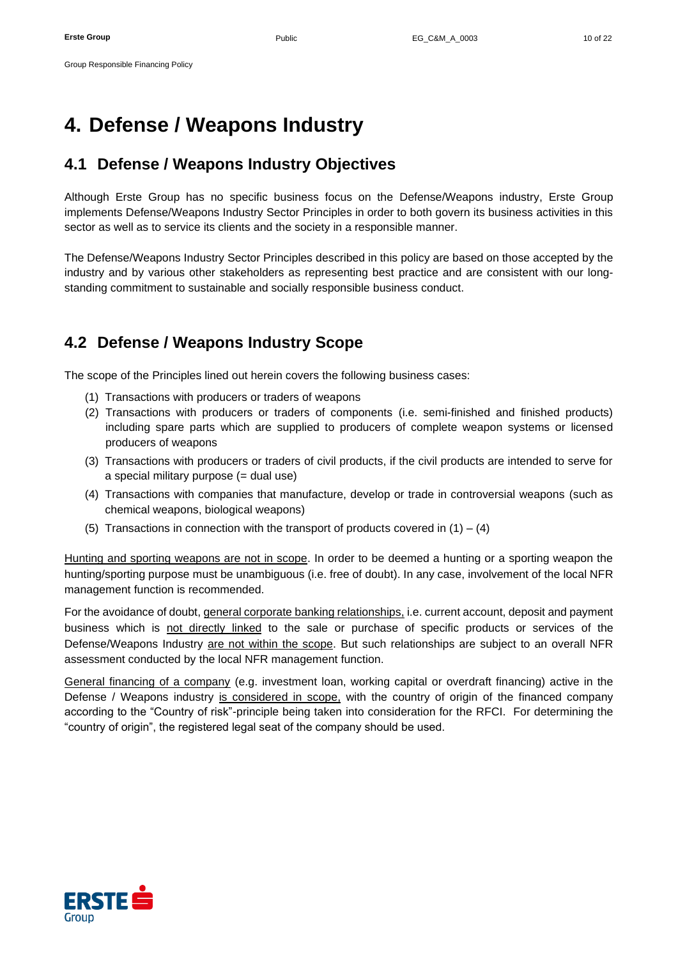# <span id="page-9-0"></span>**4. Defense / Weapons Industry**

## <span id="page-9-1"></span>**4.1 Defense / Weapons Industry Objectives**

Although Erste Group has no specific business focus on the Defense/Weapons industry, Erste Group implements Defense/Weapons Industry Sector Principles in order to both govern its business activities in this sector as well as to service its clients and the society in a responsible manner.

The Defense/Weapons Industry Sector Principles described in this policy are based on those accepted by the industry and by various other stakeholders as representing best practice and are consistent with our longstanding commitment to sustainable and socially responsible business conduct.

# <span id="page-9-2"></span>**4.2 Defense / Weapons Industry Scope**

The scope of the Principles lined out herein covers the following business cases:

- (1) Transactions with producers or traders of weapons
- (2) Transactions with producers or traders of components (i.e. semi-finished and finished products) including spare parts which are supplied to producers of complete weapon systems or licensed producers of weapons
- (3) Transactions with producers or traders of civil products, if the civil products are intended to serve for a special military purpose (= dual use)
- (4) Transactions with companies that manufacture, develop or trade in controversial weapons (such as chemical weapons, biological weapons)
- (5) Transactions in connection with the transport of products covered in  $(1) (4)$

Hunting and sporting weapons are not in scope. In order to be deemed a hunting or a sporting weapon the hunting/sporting purpose must be unambiguous (i.e. free of doubt). In any case, involvement of the local NFR management function is recommended.

For the avoidance of doubt, general corporate banking relationships, i.e. current account, deposit and payment business which is not directly linked to the sale or purchase of specific products or services of the Defense/Weapons Industry are not within the scope. But such relationships are subject to an overall NFR assessment conducted by the local NFR management function.

General financing of a company (e.g. investment loan, working capital or overdraft financing) active in the Defense / Weapons industry is considered in scope, with the country of origin of the financed company according to the "Country of risk"-principle being taken into consideration for the RFCI. For determining the "country of origin", the registered legal seat of the company should be used.

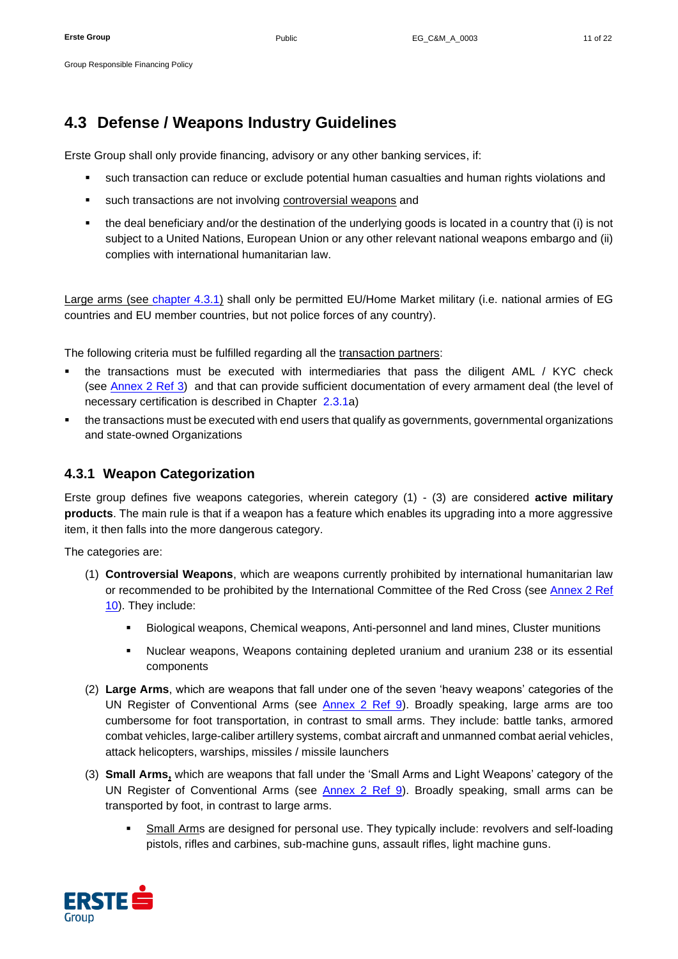# <span id="page-10-0"></span>**4.3 Defense / Weapons Industry Guidelines**

Erste Group shall only provide financing, advisory or any other banking services, if:

- such transaction can reduce or exclude potential human casualties and human rights violations and
- such transactions are not involving controversial weapons and
- the deal beneficiary and/or the destination of the underlying goods is located in a country that (i) is not subject to a United Nations, European Union or any other relevant national weapons embargo and (ii) complies with international humanitarian law.

Large arms (see [chapter 4.3.1\)](#page-10-1) shall only be permitted EU/Home Market military (i.e. national armies of EG countries and EU member countries, but not police forces of any country).

The following criteria must be fulfilled regarding all the transaction partners:

- the transactions must be executed with intermediaries that pass the diligent AML / KYC check (see [Annex 2](#page-20-4) Ref 3) and that can provide sufficient documentation of every armament deal (the level of necessary certification is described in Chapter [2.3.1](#page-5-0)[a\)](#page-5-3)
- the transactions must be executed with end users that qualify as governments, governmental organizations and state-owned Organizations

## <span id="page-10-1"></span>**4.3.1 Weapon Categorization**

Erste group defines five weapons categories, wherein category (1) - (3) are considered **active military products**. The main rule is that if a weapon has a feature which enables its upgrading into a more aggressive item, it then falls into the more dangerous category.

The categories are:

- (1) **Controversial Weapons**, which are weapons currently prohibited by international humanitarian law or recommended to be prohibited by the International Committee of the Red Cross (see [Annex 2 Ref](#page-21-1)  [10\)](#page-21-1). They include:
	- Biological weapons, Chemical weapons, Anti-personnel and land mines, Cluster munitions
	- Nuclear weapons, Weapons containing depleted uranium and uranium 238 or its essential components
- (2) **Large Arms**, which are weapons that fall under one of the seven 'heavy weapons' categories of the UN Register of Conventional Arms (see [Annex 2 Ref 9\)](#page-20-5). Broadly speaking, large arms are too cumbersome for foot transportation, in contrast to small arms. They include: battle tanks, armored combat vehicles, large-caliber artillery systems, combat aircraft and unmanned combat aerial vehicles, attack helicopters, warships, missiles / missile launchers
- (3) **Small Arms,** which are weapons that fall under the 'Small Arms and Light Weapons' category of the UN Register of Conventional Arms (see **Annex 2 Ref 9**). Broadly speaking, small arms can be transported by foot, in contrast to large arms.
	- Small Arms are designed for personal use. They typically include: revolvers and self-loading pistols, rifles and carbines, sub-machine guns, assault rifles, light machine guns.

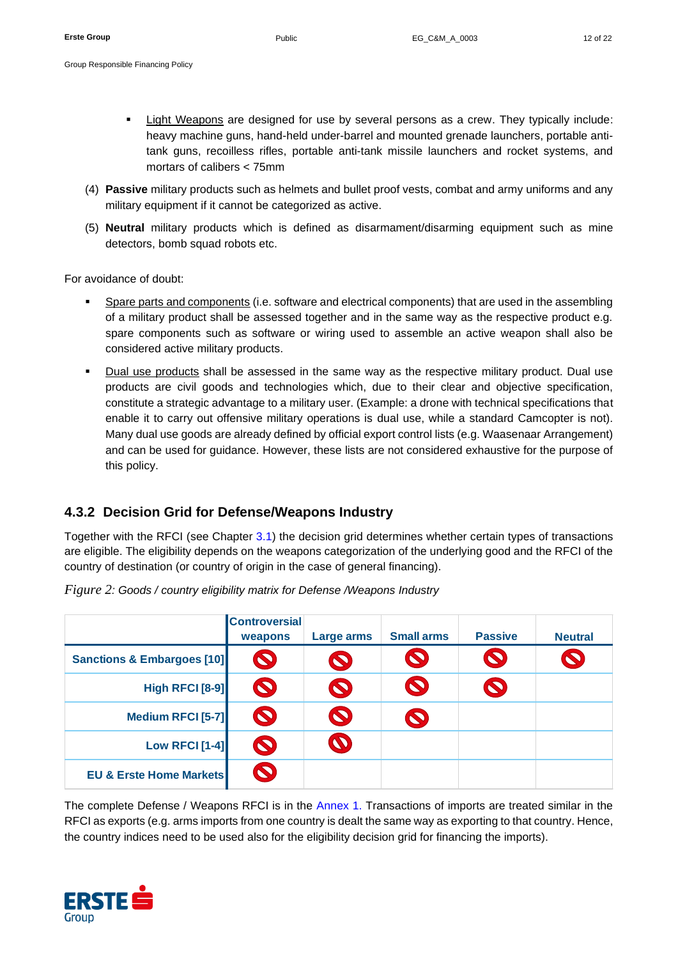- Group Responsible Financing Policy
	- Light Weapons are designed for use by several persons as a crew. They typically include: heavy machine guns, hand-held under-barrel and mounted grenade launchers, portable antitank guns, recoilless rifles, portable anti-tank missile launchers and rocket systems, and mortars of calibers < 75mm
	- (4) **Passive** military products such as helmets and bullet proof vests, combat and army uniforms and any military equipment if it cannot be categorized as active.
	- (5) **Neutral** military products which is defined as disarmament/disarming equipment such as mine detectors, bomb squad robots etc.

For avoidance of doubt:

- Spare parts and components (i.e. software and electrical components) that are used in the assembling of a military product shall be assessed together and in the same way as the respective product e.g. spare components such as software or wiring used to assemble an active weapon shall also be considered active military products.
- Dual use products shall be assessed in the same way as the respective military product. Dual use products are civil goods and technologies which, due to their clear and objective specification, constitute a strategic advantage to a military user. (Example: a drone with technical specifications that enable it to carry out offensive military operations is dual use, while a standard Camcopter is not). Many dual use goods are already defined by official export control lists (e.g. Waasenaar Arrangement) and can be used for guidance. However, these lists are not considered exhaustive for the purpose of this policy.

## <span id="page-11-0"></span>**4.3.2 Decision Grid for Defense/Weapons Industry**

Together with the RFCI (see Chapter [3.1\)](#page-8-0) the decision grid determines whether certain types of transactions are eligible. The eligibility depends on the weapons categorization of the underlying good and the RFCI of the country of destination (or country of origin in the case of general financing).

|                                       | <b>Controversial</b><br>weapons | Large arms            | <b>Small arms</b>     | <b>Passive</b> | <b>Neutral</b> |
|---------------------------------------|---------------------------------|-----------------------|-----------------------|----------------|----------------|
| <b>Sanctions &amp; Embargoes [10]</b> | $\bullet$                       | $\blacktriangledown$  | $\bullet$             | $\bullet$      |                |
| <b>High RFCI [8-9]</b>                | $\boldsymbol{\mathcal{D}}$      | $\bullet$             | $\boldsymbol{\Omega}$ | $\bullet$      |                |
| Medium RFCI [5-7]                     | $\boldsymbol{\Omega}$           | $\boldsymbol{\Omega}$ | $\bullet$             |                |                |
| <b>Low RFCI [1-4]</b>                 | $\boldsymbol{\Omega}$           |                       |                       |                |                |
| <b>EU &amp; Erste Home Markets</b>    | $\boldsymbol{\Omega}$           |                       |                       |                |                |

*Figure 2: Goods / country eligibility matrix for Defense /Weapons Industry*

The complete Defense / Weapons RFCI is in the [Annex 1.](#page-20-3) Transactions of imports are treated similar in the RFCI as exports (e.g. arms imports from one country is dealt the same way as exporting to that country. Hence, the country indices need to be used also for the eligibility decision grid for financing the imports).

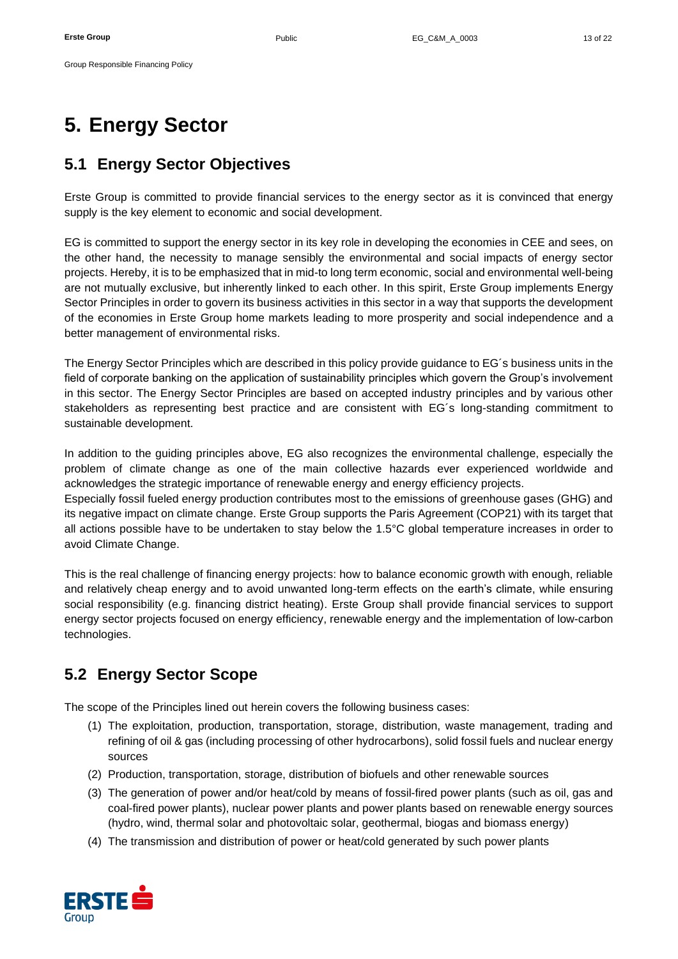# <span id="page-12-0"></span>**5. Energy Sector**

Group Responsible Financing Policy

# <span id="page-12-1"></span>**5.1 Energy Sector Objectives**

Erste Group is committed to provide financial services to the energy sector as it is convinced that energy supply is the key element to economic and social development.

EG is committed to support the energy sector in its key role in developing the economies in CEE and sees, on the other hand, the necessity to manage sensibly the environmental and social impacts of energy sector projects. Hereby, it is to be emphasized that in mid-to long term economic, social and environmental well-being are not mutually exclusive, but inherently linked to each other. In this spirit, Erste Group implements Energy Sector Principles in order to govern its business activities in this sector in a way that supports the development of the economies in Erste Group home markets leading to more prosperity and social independence and a better management of environmental risks.

The Energy Sector Principles which are described in this policy provide guidance to EG´s business units in the field of corporate banking on the application of sustainability principles which govern the Group's involvement in this sector. The Energy Sector Principles are based on accepted industry principles and by various other stakeholders as representing best practice and are consistent with EG´s long-standing commitment to sustainable development.

In addition to the guiding principles above, EG also recognizes the environmental challenge, especially the problem of climate change as one of the main collective hazards ever experienced worldwide and acknowledges the strategic importance of renewable energy and energy efficiency projects.

Especially fossil fueled energy production contributes most to the emissions of greenhouse gases (GHG) and its negative impact on climate change. Erste Group supports the Paris Agreement (COP21) with its target that all actions possible have to be undertaken to stay below the 1.5°C global temperature increases in order to avoid Climate Change.

This is the real challenge of financing energy projects: how to balance economic growth with enough, reliable and relatively cheap energy and to avoid unwanted long-term effects on the earth's climate, while ensuring social responsibility (e.g. financing district heating). Erste Group shall provide financial services to support energy sector projects focused on energy efficiency, renewable energy and the implementation of low-carbon technologies.

# <span id="page-12-2"></span>**5.2 Energy Sector Scope**

The scope of the Principles lined out herein covers the following business cases:

- (1) The exploitation, production, transportation, storage, distribution, waste management, trading and refining of oil & gas (including processing of other hydrocarbons), solid fossil fuels and nuclear energy sources
- (2) Production, transportation, storage, distribution of biofuels and other renewable sources
- (3) The generation of power and/or heat/cold by means of fossil-fired power plants (such as oil, gas and coal-fired power plants), nuclear power plants and power plants based on renewable energy sources (hydro, wind, thermal solar and photovoltaic solar, geothermal, biogas and biomass energy)
- (4) The transmission and distribution of power or heat/cold generated by such power plants

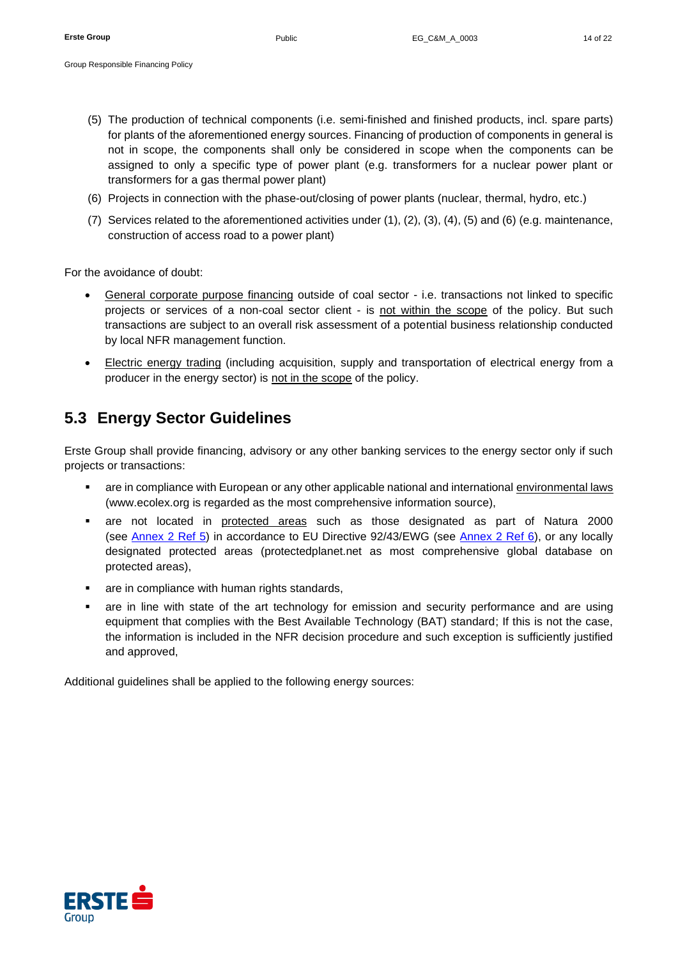- (5) The production of technical components (i.e. semi-finished and finished products, incl. spare parts) for plants of the aforementioned energy sources. Financing of production of components in general is not in scope, the components shall only be considered in scope when the components can be assigned to only a specific type of power plant (e.g. transformers for a nuclear power plant or transformers for a gas thermal power plant)
- (6) Projects in connection with the phase-out/closing of power plants (nuclear, thermal, hydro, etc.)
- (7) Services related to the aforementioned activities under (1), (2), (3), (4), (5) and (6) (e.g. maintenance, construction of access road to a power plant)

For the avoidance of doubt:

- General corporate purpose financing outside of coal sector i.e. transactions not linked to specific projects or services of a non-coal sector client - is not within the scope of the policy. But such transactions are subject to an overall risk assessment of a potential business relationship conducted by local NFR management function.
- Electric energy trading (including acquisition, supply and transportation of electrical energy from a producer in the energy sector) is not in the scope of the policy.

# <span id="page-13-0"></span>**5.3 Energy Sector Guidelines**

Erste Group shall provide financing, advisory or any other banking services to the energy sector only if such projects or transactions:

- are in compliance with European or any other applicable national and international environmental laws (www.ecolex.org is regarded as the most comprehensive information source),
- are not located in protected areas such as those designated as part of Natura 2000 (see [Annex 2 Ref 5\)](#page-20-6) in accordance to EU Directive 92/43/EWG (see [Annex 2 Ref 6\)](#page-20-7), or any locally designated protected areas (protectedplanet.net as most comprehensive global database on protected areas),
- are in compliance with human rights standards,
- are in line with state of the art technology for emission and security performance and are using equipment that complies with the Best Available Technology (BAT) standard; If this is not the case, the information is included in the NFR decision procedure and such exception is sufficiently justified and approved,

<span id="page-13-1"></span>Additional guidelines shall be applied to the following energy sources:

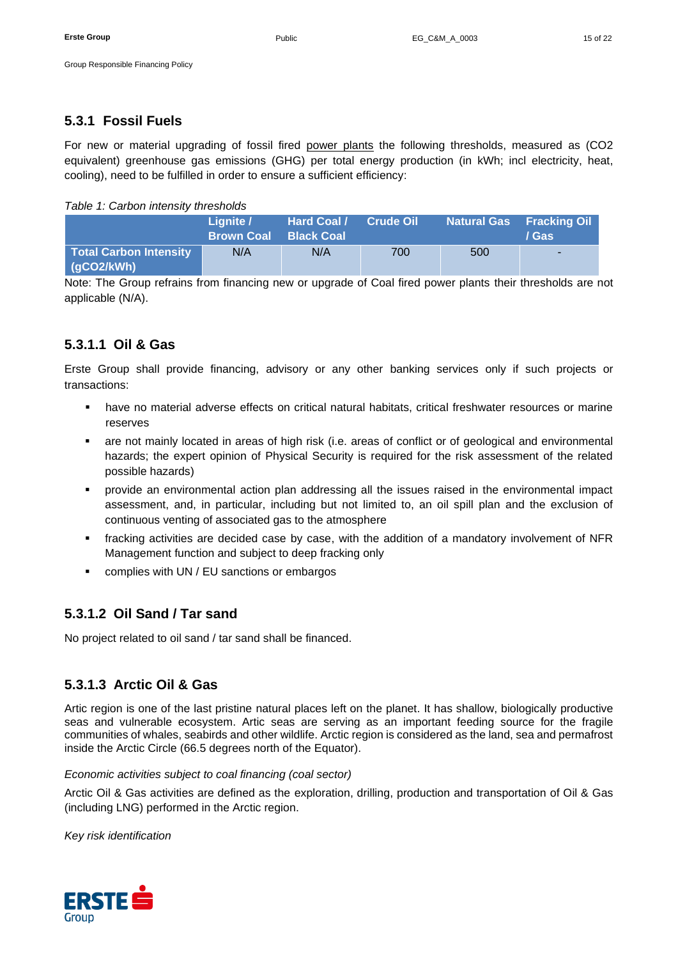### <span id="page-14-0"></span>**5.3.1 Fossil Fuels**

For new or material upgrading of fossil fired power plants the following thresholds, measured as (CO2 equivalent) greenhouse gas emissions (GHG) per total energy production (in kWh; incl electricity, heat, cooling), need to be fulfilled in order to ensure a sufficient efficiency:

### *Table 1: Carbon intensity thresholds*

|                                      | Lianite /<br><b>Brown Coal</b> | Hard Coal /<br><b>Black Coal</b> | <b>Crude Oil</b> |     | <b>Natural Gas Fracking Oil</b><br>/ Gas |
|--------------------------------------|--------------------------------|----------------------------------|------------------|-----|------------------------------------------|
| Total Carbon Intensity<br>(gCO2/kWh) | N/A                            | N/A                              | 700              | 500 | .                                        |

Note: The Group refrains from financing new or upgrade of Coal fired power plants their thresholds are not applicable (N/A).

## <span id="page-14-1"></span>**5.3.1.1 Oil & Gas**

Erste Group shall provide financing, advisory or any other banking services only if such projects or transactions:

- have no material adverse effects on critical natural habitats, critical freshwater resources or marine reserves
- are not mainly located in areas of high risk (i.e. areas of conflict or of geological and environmental hazards; the expert opinion of Physical Security is required for the risk assessment of the related possible hazards)
- provide an environmental action plan addressing all the issues raised in the environmental impact assessment, and, in particular, including but not limited to, an oil spill plan and the exclusion of continuous venting of associated gas to the atmosphere
- fracking activities are decided case by case, with the addition of a mandatory involvement of NFR Management function and subject to deep fracking only
- complies with UN / EU sanctions or embargos

## <span id="page-14-2"></span>**5.3.1.2 Oil Sand / Tar sand**

No project related to oil sand / tar sand shall be financed.

## <span id="page-14-3"></span>**5.3.1.3 Arctic Oil & Gas**

Artic region is one of the last pristine natural places left on the planet. It has shallow, biologically productive seas and vulnerable ecosystem. Artic seas are serving as an important feeding source for the fragile communities of whales, seabirds and other wildlife. Arctic region is considered as the land, sea and permafrost inside the Arctic Circle (66.5 degrees north of the Equator).

### *Economic activities subject to coal financing (coal sector)*

Arctic Oil & Gas activities are defined as the exploration, drilling, production and transportation of Oil & Gas (including LNG) performed in the Arctic region.

*Key risk identification*

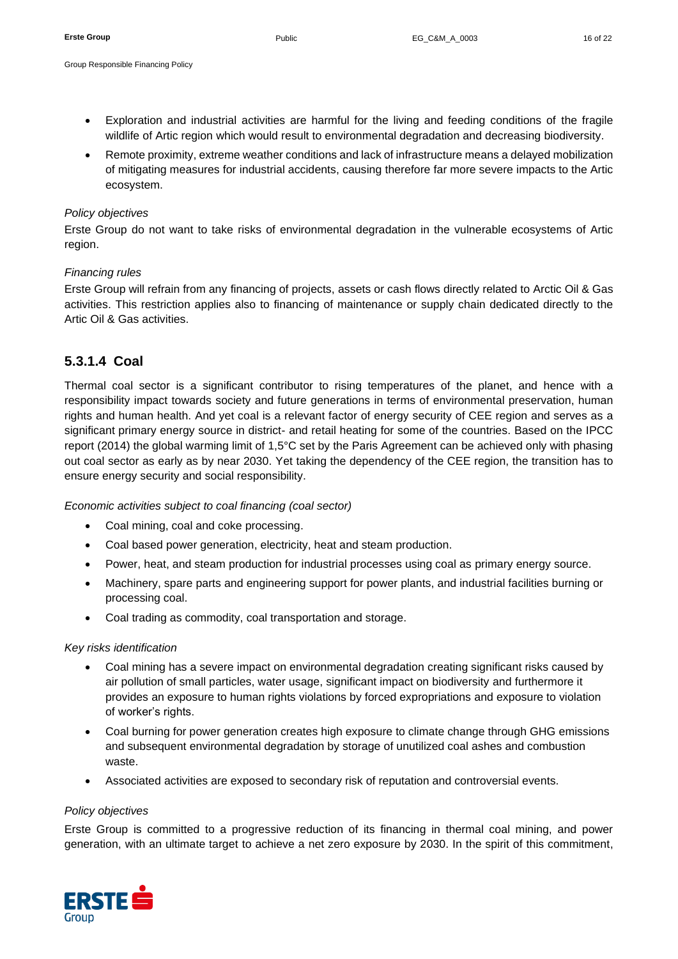- Group Responsible Financing Policy
	- Exploration and industrial activities are harmful for the living and feeding conditions of the fragile wildlife of Artic region which would result to environmental degradation and decreasing biodiversity.
	- Remote proximity, extreme weather conditions and lack of infrastructure means a delayed mobilization of mitigating measures for industrial accidents, causing therefore far more severe impacts to the Artic ecosystem.

### *Policy objectives*

Erste Group do not want to take risks of environmental degradation in the vulnerable ecosystems of Artic region.

### *Financing rules*

Erste Group will refrain from any financing of projects, assets or cash flows directly related to Arctic Oil & Gas activities. This restriction applies also to financing of maintenance or supply chain dedicated directly to the Artic Oil & Gas activities.

### <span id="page-15-0"></span>**5.3.1.4 Coal**

Thermal coal sector is a significant contributor to rising temperatures of the planet, and hence with a responsibility impact towards society and future generations in terms of environmental preservation, human rights and human health. And yet coal is a relevant factor of energy security of CEE region and serves as a significant primary energy source in district- and retail heating for some of the countries. Based on the IPCC report (2014) the global warming limit of 1,5°C set by the Paris Agreement can be achieved only with phasing out coal sector as early as by near 2030. Yet taking the dependency of the CEE region, the transition has to ensure energy security and social responsibility.

*Economic activities subject to coal financing (coal sector)*

- Coal mining, coal and coke processing.
- Coal based power generation, electricity, heat and steam production.
- Power, heat, and steam production for industrial processes using coal as primary energy source.
- Machinery, spare parts and engineering support for power plants, and industrial facilities burning or processing coal.
- Coal trading as commodity, coal transportation and storage.

#### *Key risks identification*

- Coal mining has a severe impact on environmental degradation creating significant risks caused by air pollution of small particles, water usage, significant impact on biodiversity and furthermore it provides an exposure to human rights violations by forced expropriations and exposure to violation of worker's rights.
- Coal burning for power generation creates high exposure to climate change through GHG emissions and subsequent environmental degradation by storage of unutilized coal ashes and combustion waste.
- Associated activities are exposed to secondary risk of reputation and controversial events.

#### *Policy objectives*

Erste Group is committed to a progressive reduction of its financing in thermal coal mining, and power generation, with an ultimate target to achieve a net zero exposure by 2030. In the spirit of this commitment,

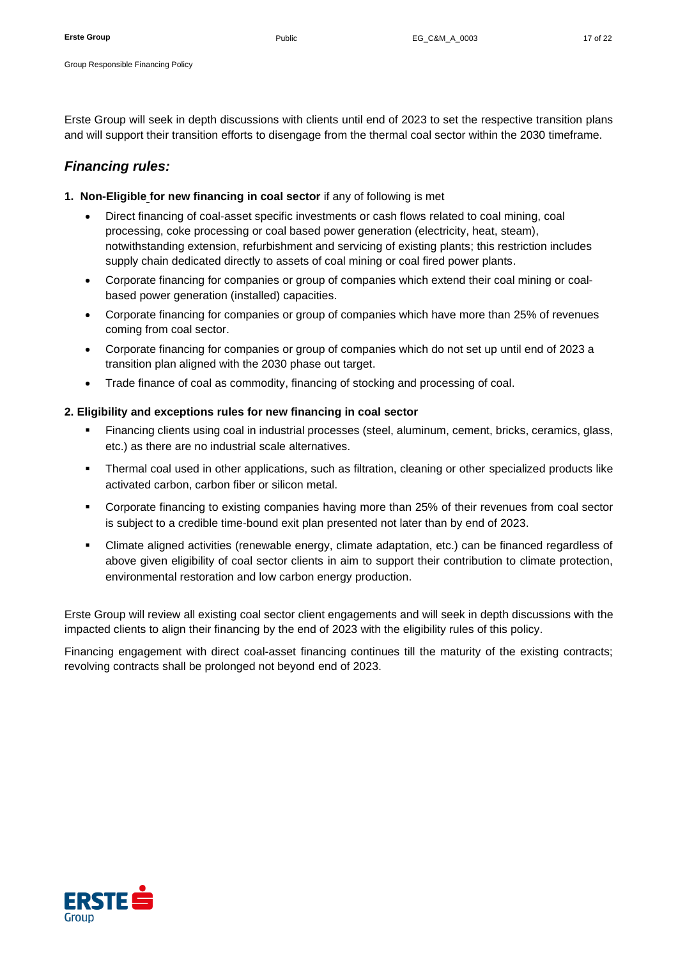Erste Group will seek in depth discussions with clients until end of 2023 to set the respective transition plans and will support their transition efforts to disengage from the thermal coal sector within the 2030 timeframe.

### *Financing rules:*

- **1. Non-Eligible for new financing in coal sector** if any of following is met
	- Direct financing of coal-asset specific investments or cash flows related to coal mining, coal processing, coke processing or coal based power generation (electricity, heat, steam), notwithstanding extension, refurbishment and servicing of existing plants; this restriction includes supply chain dedicated directly to assets of coal mining or coal fired power plants.
	- Corporate financing for companies or group of companies which extend their coal mining or coalbased power generation (installed) capacities.
	- Corporate financing for companies or group of companies which have more than 25% of revenues coming from coal sector.
	- Corporate financing for companies or group of companies which do not set up until end of 2023 a transition plan aligned with the 2030 phase out target.
	- Trade finance of coal as commodity, financing of stocking and processing of coal.

### **2. Eligibility and exceptions rules for new financing in coal sector**

- Financing clients using coal in industrial processes (steel, aluminum, cement, bricks, ceramics, glass, etc.) as there are no industrial scale alternatives.
- **•** Thermal coal used in other applications, such as filtration, cleaning or other specialized products like activated carbon, carbon fiber or silicon metal.
- Corporate financing to existing companies having more than 25% of their revenues from coal sector is subject to a credible time-bound exit plan presented not later than by end of 2023.
- Climate aligned activities (renewable energy, climate adaptation, etc.) can be financed regardless of above given eligibility of coal sector clients in aim to support their contribution to climate protection, environmental restoration and low carbon energy production.

Erste Group will review all existing coal sector client engagements and will seek in depth discussions with the impacted clients to align their financing by the end of 2023 with the eligibility rules of this policy.

Financing engagement with direct coal-asset financing continues till the maturity of the existing contracts; revolving contracts shall be prolonged not beyond end of 2023.

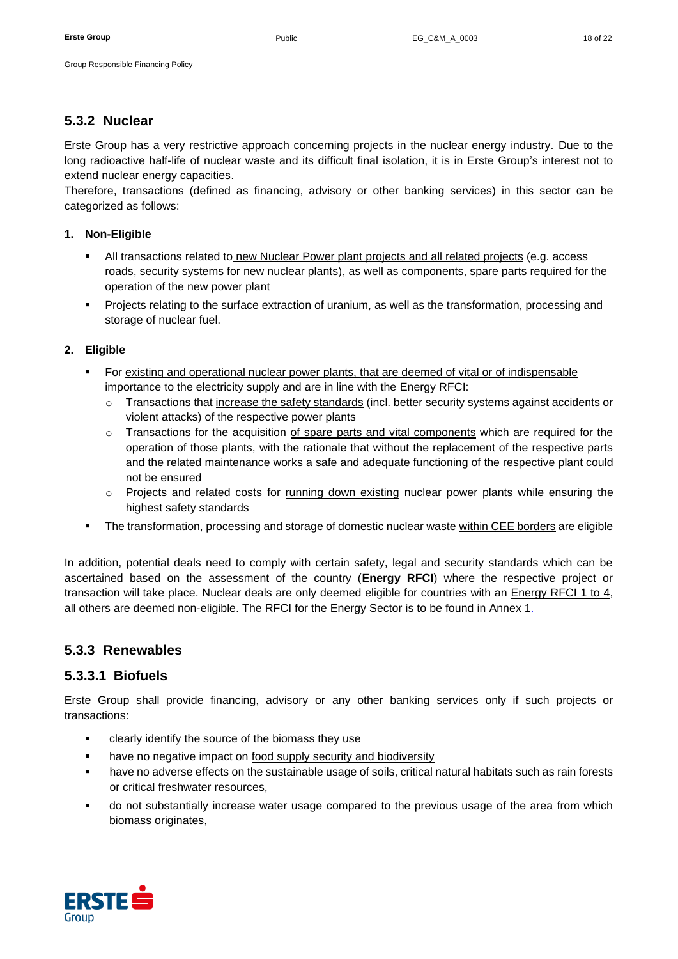### <span id="page-17-0"></span>**5.3.2 Nuclear**

Erste Group has a very restrictive approach concerning projects in the nuclear energy industry. Due to the long radioactive half-life of nuclear waste and its difficult final isolation, it is in Erste Group's interest not to extend nuclear energy capacities.

Therefore, transactions (defined as financing, advisory or other banking services) in this sector can be categorized as follows:

### **1. Non-Eligible**

- All transactions related to new Nuclear Power plant projects and all related projects (e.g. access roads, security systems for new nuclear plants), as well as components, spare parts required for the operation of the new power plant
- Projects relating to the surface extraction of uranium, as well as the transformation, processing and storage of nuclear fuel.

### **2. Eligible**

- For existing and operational nuclear power plants, that are deemed of vital or of indispensable importance to the electricity supply and are in line with the Energy RFCI:
	- $\circ$  Transactions that increase the safety standards (incl. better security systems against accidents or violent attacks) of the respective power plants
	- $\circ$  Transactions for the acquisition of spare parts and vital components which are required for the operation of those plants, with the rationale that without the replacement of the respective parts and the related maintenance works a safe and adequate functioning of the respective plant could not be ensured
	- $\circ$  Projects and related costs for running down existing nuclear power plants while ensuring the highest safety standards
- **•** The transformation, processing and storage of domestic nuclear waste within CEE borders are eligible

In addition, potential deals need to comply with certain safety, legal and security standards which can be ascertained based on the assessment of the country (**Energy RFCI**) where the respective project or transaction will take place. Nuclear deals are only deemed eligible for countries with an Energy RFCI 1 to 4, all others are deemed non-eligible. The RFCI for the Energy Sector is to be found in [Annex 1.](#page-20-3)

### <span id="page-17-1"></span>**5.3.3 Renewables**

### <span id="page-17-2"></span>**5.3.3.1 Biofuels**

Erste Group shall provide financing, advisory or any other banking services only if such projects or transactions:

- clearly identify the source of the biomass they use
- have no negative impact on food supply security and biodiversity
- have no adverse effects on the sustainable usage of soils, critical natural habitats such as rain forests or critical freshwater resources,
- do not substantially increase water usage compared to the previous usage of the area from which biomass originates.

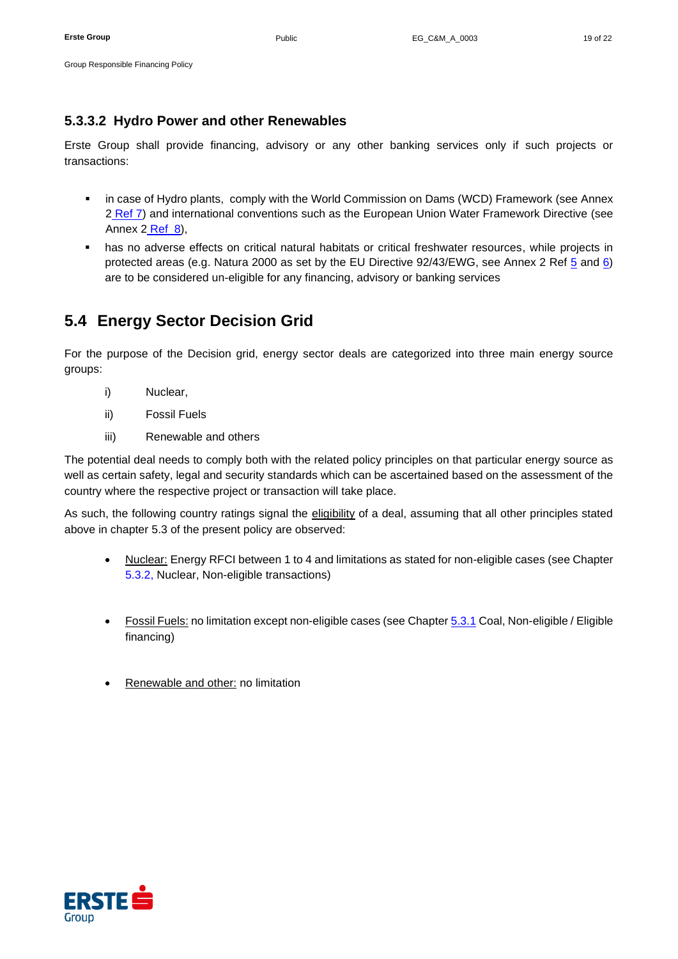## <span id="page-18-0"></span>**5.3.3.2 Hydro Power and other Renewables**

Erste Group shall provide financing, advisory or any other banking services only if such projects or transactions:

- **.** in case of Hydro plants, comply with the World Commission on Dams (WCD) Framework (see Annex [2](#page-20-8) Ref 7) and international conventions such as the European Union Water Framework Directive (see Annex  $2$  Ref  $8$ ),
- **.** has no adverse effects on critical natural habitats or critical freshwater resources, while projects in protected areas (e.g. Natura 2000 as set by the EU Directive 92/43/EWG, see Annex 2 Ref [5](#page-20-6) and [6\)](#page-20-7) are to be considered un-eligible for any financing, advisory or banking services

# <span id="page-18-1"></span>**5.4 Energy Sector Decision Grid**

For the purpose of the Decision grid, energy sector deals are categorized into three main energy source groups:

- i) Nuclear,
- ii) Fossil Fuels
- iii) Renewable and others

The potential deal needs to comply both with the related policy principles on that particular energy source as well as certain safety, legal and security standards which can be ascertained based on the assessment of the country where the respective project or transaction will take place.

As such, the following country ratings signal the eligibility of a deal, assuming that all other principles stated above in chapter 5.3 of the present policy are observed:

- Nuclear: Energy RFCI between 1 to 4 and limitations as stated for non-eligible cases (see Chapter [5.3.](#page-13-0)2, Nuclear, Non-eligible transactions)
- Fossil Fuels: no limitation except non-eligible cases (see Chapter [5.3.1](#page-13-1) Coal, Non-eligible / Eligible financing)
- Renewable and other: no limitation

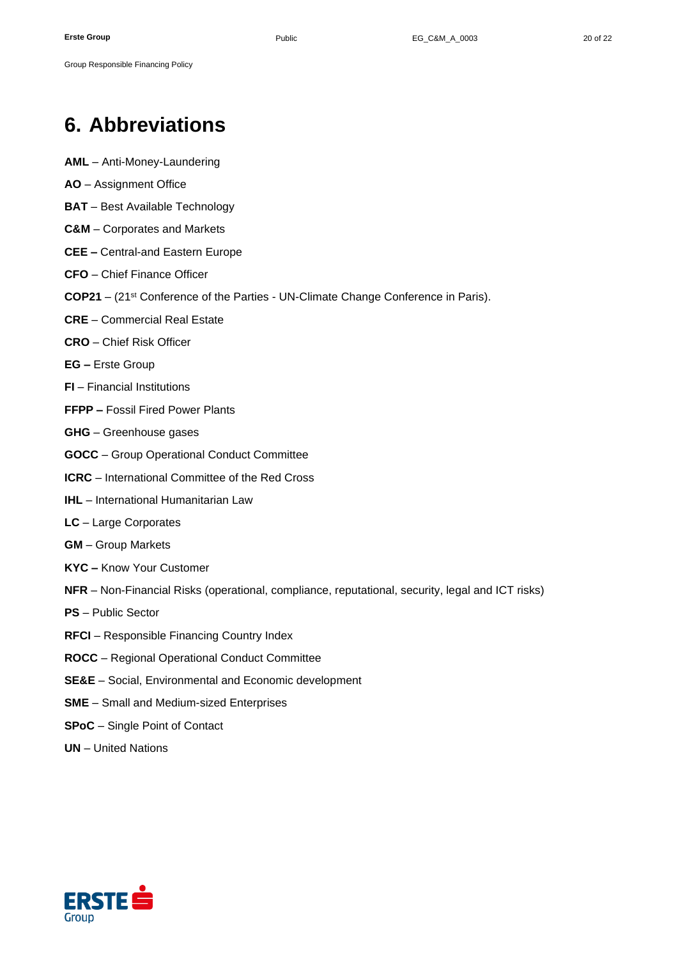# <span id="page-19-0"></span>**6. Abbreviations**

- **AML** Anti-Money-Laundering
- **AO** Assignment Office

Group Responsible Financing Policy

- **BAT** Best Available Technology
- **C&M** Corporates and Markets
- **CEE –** Central-and Eastern Europe
- **CFO** Chief Finance Officer
- **COP21** (21st Conference of the Parties UN-Climate Change Conference in Paris).
- **CRE** Commercial Real Estate
- **CRO** Chief Risk Officer
- **EG –** Erste Group
- **FI** Financial Institutions
- **FFPP –** Fossil Fired Power Plants
- **GHG** Greenhouse gases
- **GOCC**  Group Operational Conduct Committee
- **ICRC** International Committee of the Red Cross
- **IHL** International Humanitarian Law
- **LC** Large Corporates
- **GM** Group Markets
- **KYC –** Know Your Customer
- **NFR** Non-Financial Risks (operational, compliance, reputational, security, legal and ICT risks)
- **PS** Public Sector
- **RFCI** Responsible Financing Country Index
- **ROCC**  Regional Operational Conduct Committee
- **SE&E**  Social, Environmental and Economic development
- **SME** Small and Medium-sized Enterprises
- **SPoC**  Single Point of Contact
- **UN** United Nations

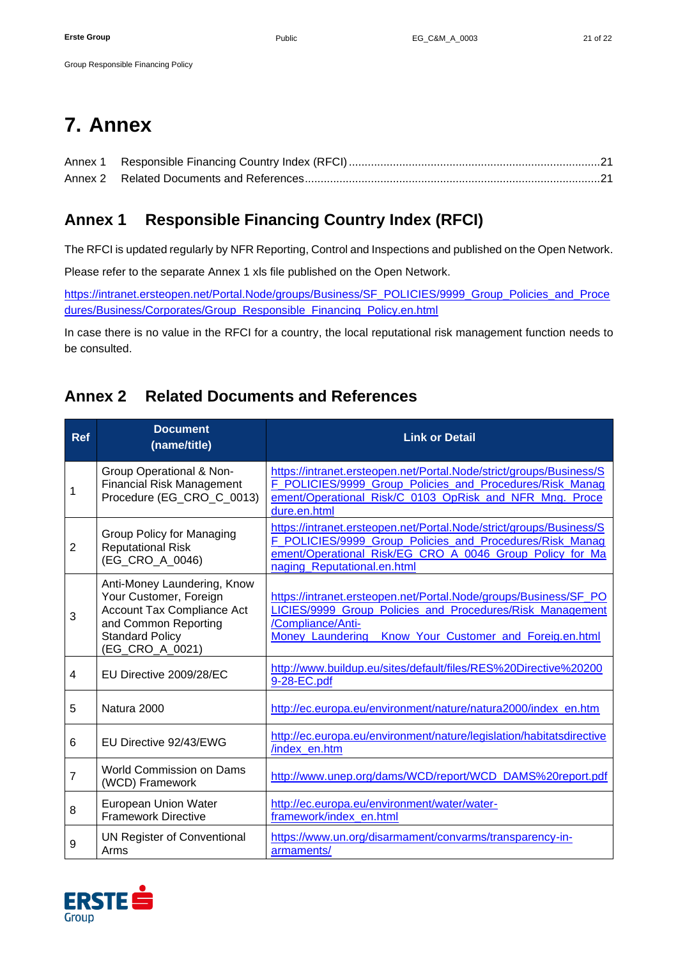# <span id="page-20-0"></span>**7. Annex**

Group Responsible Financing Policy

# <span id="page-20-3"></span>**Annex 1 Responsible Financing Country Index (RFCI)**

The RFCI is updated regularly by NFR Reporting, Control and Inspections and published on the Open Network.

Please refer to the separate Annex 1 xls file published on the Open Network.

[https://intranet.ersteopen.net/Portal.Node/groups/Business/SF\\_POLICIES/9999\\_Group\\_Policies\\_and\\_Proce](https://intranet.ersteopen.net/Portal.Node/groups/Business/SF_POLICIES/9999_Group_Policies_and_Procedures/Business/Corporates/Group_Responsible_Financing_Policy.en.html) [dures/Business/Corporates/Group\\_Responsible\\_Financing\\_Policy.en.html](https://intranet.ersteopen.net/Portal.Node/groups/Business/SF_POLICIES/9999_Group_Policies_and_Procedures/Business/Corporates/Group_Responsible_Financing_Policy.en.html)

In case there is no value in the RFCI for a country, the local reputational risk management function needs to be consulted.

# <span id="page-20-8"></span>**Annex 2 Related Documents and References**

<span id="page-20-4"></span><span id="page-20-2"></span><span id="page-20-1"></span>

| <b>Ref</b>     | <b>Document</b><br>(name/title)                                                                                                                          | <b>Link or Detail</b>                                                                                                                                                                                                      |  |  |
|----------------|----------------------------------------------------------------------------------------------------------------------------------------------------------|----------------------------------------------------------------------------------------------------------------------------------------------------------------------------------------------------------------------------|--|--|
| 1              | Group Operational & Non-<br><b>Financial Risk Management</b><br>Procedure (EG_CRO_C_0013)                                                                | https://intranet.ersteopen.net/Portal.Node/strict/groups/Business/S<br>F_POLICIES/9999_Group_Policies_and_Procedures/Risk_Manag<br>ement/Operational_Risk/C_0103_OpRisk_and_NFR_Mng._Proce<br>dure.en.html                 |  |  |
| $\overline{2}$ | Group Policy for Managing<br><b>Reputational Risk</b><br>(EG_CRO_A_0046)                                                                                 | https://intranet.ersteopen.net/Portal.Node/strict/groups/Business/S<br>F_POLICIES/9999_Group_Policies_and_Procedures/Risk_Manag<br>ement/Operational_Risk/EG_CRO_A_0046_Group_Policy_for_Ma<br>naging_Reputational.en.html |  |  |
| 3              | Anti-Money Laundering, Know<br>Your Customer, Foreign<br>Account Tax Compliance Act<br>and Common Reporting<br><b>Standard Policy</b><br>(EG_CRO_A_0021) | https://intranet.ersteopen.net/Portal.Node/groups/Business/SF_PO<br>LICIES/9999_Group_Policies_and_Procedures/Risk_Management<br>/Compliance/Anti-<br>Money_Laundering_Know_Your_Customer_and_Foreig.en.html               |  |  |
| 4              | EU Directive 2009/28/EC                                                                                                                                  | http://www.buildup.eu/sites/default/files/RES%20Directive%20200<br>9-28-EC.pdf                                                                                                                                             |  |  |
| 5              | Natura 2000                                                                                                                                              | http://ec.europa.eu/environment/nature/natura2000/index_en.htm                                                                                                                                                             |  |  |
| 6              | EU Directive 92/43/EWG                                                                                                                                   | http://ec.europa.eu/environment/nature/legislation/habitatsdirective<br>/index en.htm                                                                                                                                      |  |  |
| 7              | World Commission on Dams<br>(WCD) Framework                                                                                                              | http://www.unep.org/dams/WCD/report/WCD_DAMS%20report.pdf                                                                                                                                                                  |  |  |
| 8              | European Union Water<br><b>Framework Directive</b>                                                                                                       | http://ec.europa.eu/environment/water/water-<br>framework/index en.html                                                                                                                                                    |  |  |
| 9              | <b>UN Register of Conventional</b><br>Arms                                                                                                               | https://www.un.org/disarmament/convarms/transparency-in-<br>armaments/                                                                                                                                                     |  |  |

<span id="page-20-7"></span><span id="page-20-6"></span><span id="page-20-5"></span>